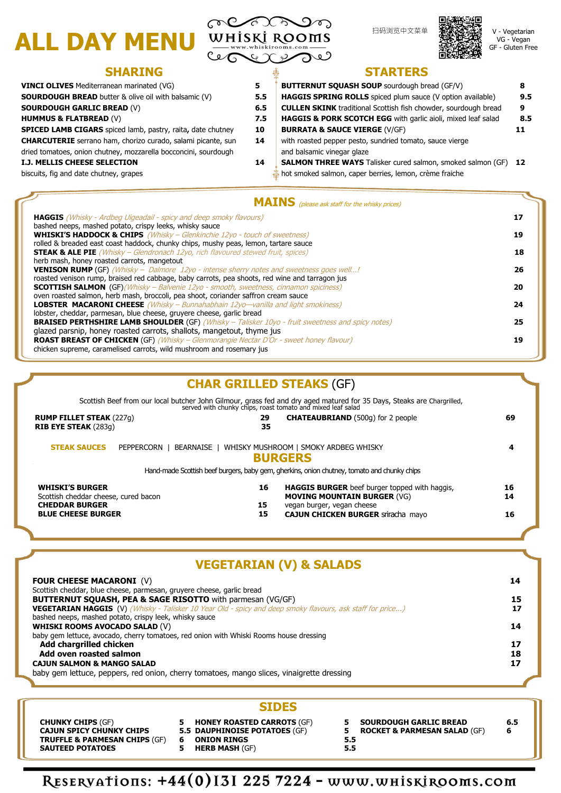V - Vegetarian VG - Vegan GF - Gluten Free

| <b>HAGGIS</b> (Whisky - Ardbeg Uigeadail - spicy and deep smoky flavours)                               | 17 |
|---------------------------------------------------------------------------------------------------------|----|
| bashed neeps, mashed potato, crispy leeks, whisky sauce                                                 |    |
| WHISKI'S HADDOCK & CHIPS (Whisky - Glenkinchie 12yo - touch of sweetness)                               | 19 |
| rolled & breaded east coast haddock, chunky chips, mushy peas, lemon, tartare sauce                     |    |
| <b>STEAK &amp; ALE PIE</b> (Whisky - Glendronach 12yo, rich flavoured stewed fruit, spices)             | 18 |
| herb mash, honey roasted carrots, mangetout                                                             |    |
| <b>VENISON RUMP</b> (GF) (Whisky - Dalmore 12yo - intense sherry notes and sweetness goes well!         | 26 |
| roasted venison rump, braised red cabbage, baby carrots, pea shoots, red wine and tarragon jus          |    |
| <b>SCOTTISH SALMON</b> (GF)(Whisky - Balvenie 12yo - smooth, sweetness, cinnamon spiciness)             | 20 |
| oven roasted salmon, herb mash, broccoli, pea shoot, coriander saffron cream sauce                      |    |
| <b>LOBSTER MACARONI CHEESE</b> (Whisky – Bunnahabhain 12yo—vanilla and light smokiness)                 | 24 |
| lobster, cheddar, parmesan, blue cheese, gruyere cheese, garlic bread                                   |    |
| <b>BRAISED PERTHSHIRE LAMB SHOULDER (GF)</b> (Whisky – Talisker 10yo - fruit sweetness and spicy notes) | 25 |
| glazed parsnip, honey roasted carrots, shallots, mangetout, thyme jus                                   |    |
| <b>ROAST BREAST OF CHICKEN</b> (GF) (Whisky - Glenmorangie Nectar D'Or - sweet honey flavour)           | 19 |
| chicken supreme, caramelised carrots, wild mushroom and rosemary jus                                    |    |

# **SHARING STARTERS**

| <b>VINCI OLIVES</b> Mediterranean marinated (VG)                    |
|---------------------------------------------------------------------|
| <b>SOURDOUGH BREAD</b> butter & olive oil with balsamic (V)         |
| <b>SOURDOUGH GARLIC BREAD (V)</b>                                   |
| <b>HUMMUS &amp; FLATBREAD (V)</b>                                   |
| <b>SPICED LAMB CIGARS</b> spiced lamb, pastry, raita, date chutney  |
| <b>CHARCUTERIE</b> serrano ham, chorizo curado, salami picante, sun |
| dried tomatoes, onion chutney, mozzarella bocconcini, sourdough     |
| <b>I.J. MELLIS CHEESE SELECTION</b>                                 |
| biscuits, fig and date chutney, grapes                              |
|                                                                     |

| 5   | <b>BUTTERNUT SQUASH SOUP</b> sourdough bread (GF/V)                    |     |  |  |
|-----|------------------------------------------------------------------------|-----|--|--|
| 5.5 | HAGGIS SPRING ROLLS spiced plum sauce (V option available)             | 9.5 |  |  |
| 6.5 | <b>CULLEN SKINK</b> traditional Scottish fish chowder, sourdough bread | 9   |  |  |
| 7.5 | HAGGIS & PORK SCOTCH EGG with garlic aioli, mixed leaf salad           | 8.5 |  |  |
| 10  | <b>BURRATA &amp; SAUCE VIERGE (V/GF)</b>                               | 11  |  |  |
| 14  | with roasted pepper pesto, sundried tomato, sauce vierge               |     |  |  |
|     | and balsamic vinegar glaze                                             |     |  |  |
| 14  | <b>SALMON THREE WAYS</b> Talisker cured salmon, smoked salmon (GF)     | 12  |  |  |
|     | hot smoked salmon, caper berries, lemon, crème fraiche                 |     |  |  |

## **MAINS** (please ask staff for the whisky prices)

# ALL DAY MENU WHISKI ROOMS



**CAJUN SPICY CHUNKY CHIPS TRUFFLE & PARMESAN CHIPS** (GF) **ONION RINGS 6 SAUTEED POTATOES** 

**HERB MASH** (GF) **5**

| 5.  | <b>SOURDOUGH GARLIC BREAD</b>           | 6.5 |
|-----|-----------------------------------------|-----|
|     | <b>ROCKET &amp; PARMESAN SALAD (GF)</b> | 6   |
| 5.5 |                                         |     |
| 5.5 |                                         |     |

RESERVATIONS: +44(0)131 225 7224 - www.whiskirooms.com

|                                                                                           | <b>BUTTERNUT SQUASH, PEA &amp; SAGE RISOTTO</b> with parmesan (VG/GF)                  |                                                                                                                   |    |                                         | 15  |
|-------------------------------------------------------------------------------------------|----------------------------------------------------------------------------------------|-------------------------------------------------------------------------------------------------------------------|----|-----------------------------------------|-----|
|                                                                                           |                                                                                        | <b>VEGETARIAN HAGGIS</b> (V) (Whisky - Talisker 10 Year Old - spicy and deep smoky flavours, ask staff for price) |    |                                         | 17  |
|                                                                                           | bashed neeps, mashed potato, crispy leek, whisky sauce                                 |                                                                                                                   |    |                                         | 14  |
|                                                                                           | <b>WHISKI ROOMS AVOCADO SALAD (V)</b>                                                  |                                                                                                                   |    |                                         |     |
|                                                                                           | baby gem lettuce, avocado, cherry tomatoes, red onion with Whiski Rooms house dressing |                                                                                                                   |    |                                         |     |
|                                                                                           | Add chargrilled chicken                                                                |                                                                                                                   |    |                                         | 17  |
| Add oven roasted salmon                                                                   |                                                                                        |                                                                                                                   |    |                                         | 18  |
| <b>CAJUN SALMON &amp; MANGO SALAD</b>                                                     |                                                                                        |                                                                                                                   |    |                                         |     |
| baby gem lettuce, peppers, red onion, cherry tomatoes, mango slices, vinaigrette dressing |                                                                                        |                                                                                                                   |    |                                         |     |
|                                                                                           |                                                                                        |                                                                                                                   |    |                                         |     |
|                                                                                           |                                                                                        | <b>SIDES</b>                                                                                                      |    |                                         |     |
|                                                                                           | <b>CHUNKY CHIPS (GF)</b>                                                               | <b>HONEY ROASTED CARROTS (GF)</b><br>5.                                                                           |    | <b>SOURDOUGH GARLIC BREAD</b>           | 6.5 |
|                                                                                           | <b>CAJUN SPICY CHUNKY CHIPS</b>                                                        | <b>5.5 DAUPHINOISE POTATOES (GF)</b>                                                                              | 5. | <b>ROCKET &amp; PARMESAN SALAD (GF)</b> | 6   |

# **VEGETARIAN (V) & SALADS**

#### **FOUR CHEESE MACARONI** (V) **14**

Scottish cheddar, blue cheese, parmesan, gruyere cheese, garlic bread

|                                                                                                                      |                | served with chunky chips, roast tomato and mixed leaf salad                                                                                                           |                |
|----------------------------------------------------------------------------------------------------------------------|----------------|-----------------------------------------------------------------------------------------------------------------------------------------------------------------------|----------------|
| <b>RUMP FILLET STEAK (227g)</b><br><b>RIB EYE STEAK (283g)</b>                                                       | 29<br>35       | <b>CHATEAUBRIAND</b> (500g) for 2 people                                                                                                                              | 69             |
| <b>STEAK SAUCES</b><br>PEPPERCORN                                                                                    |                | BEARNAISE   WHISKY MUSHROOM   SMOKY ARDBEG WHISKY<br><b>BURGERS</b><br>Hand-made Scottish beef burgers, baby gem, gherkins, onion chutney, tomato and chunky chips    |                |
| <b>WHISKI'S BURGER</b><br>Scottish cheddar cheese, cured bacon<br><b>CHEDDAR BURGER</b><br><b>BLUE CHEESE BURGER</b> | 16<br>15<br>15 | <b>HAGGIS BURGER</b> beef burger topped with haggis,<br><b>MOVING MOUNTAIN BURGER (VG)</b><br>vegan burger, vegan cheese<br><b>CAJUN CHICKEN BURGER STITACHA MAYO</b> | 16<br>14<br>16 |

# **CHAR GRILLED STEAKS** (GF)

Scottish Beef from our local butcher John Gilmour, grass fed and dry aged matured for 35 Days, Steaks are Chargrilled,

扫码浏览中文菜单